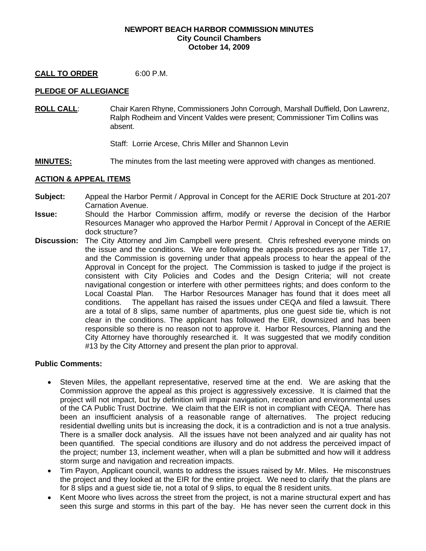#### **NEWPORT BEACH HARBOR COMMISSION MINUTES City Council Chambers October 14, 2009**

### **CALL TO ORDER** 6:00 P.M.

### **PLEDGE OF ALLEGIANCE**

**ROLL CALL**: Chair Karen Rhyne, Commissioners John Corrough, Marshall Duffield, Don Lawrenz, Ralph Rodheim and Vincent Valdes were present; Commissioner Tim Collins was absent.

Staff: Lorrie Arcese, Chris Miller and Shannon Levin

**MINUTES:** The minutes from the last meeting were approved with changes as mentioned.

### **ACTION & APPEAL ITEMS**

- **Subject:** Appeal the Harbor Permit / Approval in Concept for the AERIE Dock Structure at 201-207 Carnation Avenue.
- **Issue:** Should the Harbor Commission affirm, modify or reverse the decision of the Harbor Resources Manager who approved the Harbor Permit / Approval in Concept of the AERIE dock structure?
- **Discussion:** The City Attorney and Jim Campbell were present.Chris refreshed everyone minds on the issue and the conditions. We are following the appeals procedures as per Title 17, and the Commission is governing under that appeals process to hear the appeal of the Approval in Concept for the project. The Commission is tasked to judge if the project is consistent with City Policies and Codes and the Design Criteria; will not create navigational congestion or interfere with other permittees rights; and does conform to the Local Coastal Plan. The Harbor Resources Manager has found that it does meet all conditions. The appellant has raised the issues under CEQA and filed a lawsuit. There are a total of 8 slips, same number of apartments, plus one guest side tie, which is not clear in the conditions. The applicant has followed the EIR, downsized and has been responsible so there is no reason not to approve it. Harbor Resources, Planning and the City Attorney have thoroughly researched it. It was suggested that we modify condition #13 by the City Attorney and present the plan prior to approval.

### **Public Comments:**

- Steven Miles, the appellant representative, reserved time at the end. We are asking that the Commission approve the appeal as this project is aggressively excessive. It is claimed that the project will not impact, but by definition will impair navigation, recreation and environmental uses of the CA Public Trust Doctrine. We claim that the EIR is not in compliant with CEQA. There has been an insufficient analysis of a reasonable range of alternatives. The project reducing residential dwelling units but is increasing the dock, it is a contradiction and is not a true analysis. There is a smaller dock analysis. All the issues have not been analyzed and air quality has not been quantified. The special conditions are illusory and do not address the perceived impact of the project; number 13, inclement weather, when will a plan be submitted and how will it address storm surge and navigation and recreation impacts.
- Tim Payon, Applicant council, wants to address the issues raised by Mr. Miles. He misconstrues the project and they looked at the EIR for the entire project. We need to clarify that the plans are for 8 slips and a guest side tie, not a total of 9 slips, to equal the 8 resident units.
- Kent Moore who lives across the street from the project, is not a marine structural expert and has seen this surge and storms in this part of the bay. He has never seen the current dock in this